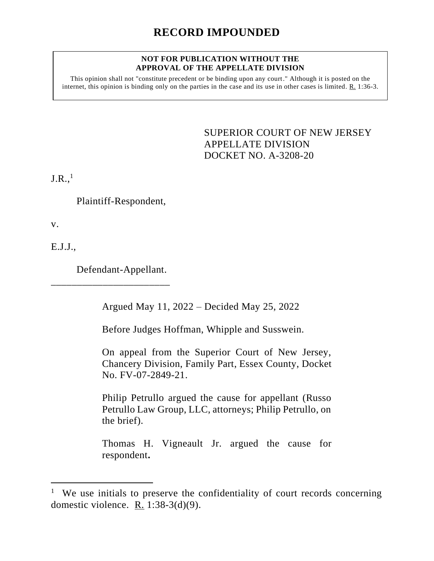## **NOT FOR PUBLICATION WITHOUT THE APPROVAL OF THE APPELLATE DIVISION**

This opinion shall not "constitute precedent or be binding upon any court." Although it is posted on the internet, this opinion is binding only on the parties in the case and its use in other cases is limited. R. 1:36-3.

> <span id="page-0-0"></span>SUPERIOR COURT OF NEW JERSEY APPELLATE DIVISION DOCKET NO. A-3208-20

 $J.R.,<sup>1</sup>$ 

Plaintiff-Respondent,

v.

E.J.J.,

Defendant-Appellant.

\_\_\_\_\_\_\_\_\_\_\_\_\_\_\_\_\_\_\_\_\_\_\_

Argued May 11, 2022 – Decided May 25, 2022

Before Judges Hoffman, Whipple and Susswein.

On appeal from the Superior Court of New Jersey, Chancery Division, Family Part, Essex County, Docket No. FV-07-2849-21.

Philip Petrullo argued the cause for appellant (Russo Petrullo Law Group, LLC, attorneys; Philip Petrullo, on the brief).

Thomas H. Vigneault Jr. argued the cause for respondent**.**

<sup>&</sup>lt;sup>1</sup> We use initials to preserve the confidentiality of court records concerning domestic violence. R. 1:38-3(d)(9).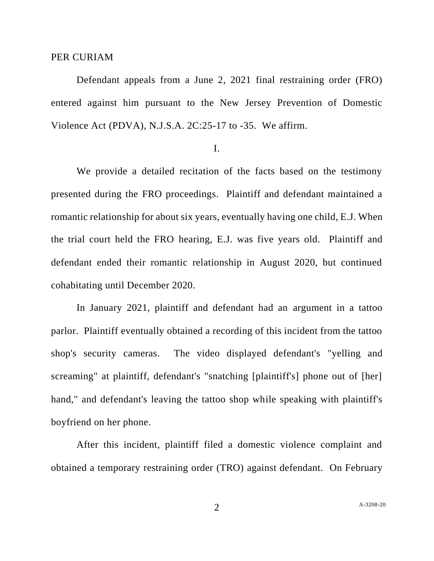## PER CURIAM

Defendant appeals from a June 2, 2021 final restraining order (FRO) entered against him pursuant to the New Jersey Prevention of Domestic Violence Act (PDVA), N.J.S.A. 2C:25-17 to -35. We affirm.

## I.

We provide a detailed recitation of the facts based on the testimony presented during the FRO proceedings. Plaintiff and defendant maintained a romantic relationship for about six years, eventually having one child, E.J. When the trial court held the FRO hearing, E.J. was five years old. Plaintiff and defendant ended their romantic relationship in August 2020, but continued cohabitating until December 2020.

In January 2021, plaintiff and defendant had an argument in a tattoo parlor. Plaintiff eventually obtained a recording of this incident from the tattoo shop's security cameras. The video displayed defendant's "yelling and screaming" at plaintiff, defendant's "snatching [plaintiff's] phone out of [her] hand," and defendant's leaving the tattoo shop while speaking with plaintiff's boyfriend on her phone.

After this incident, plaintiff filed a domestic violence complaint and obtained a temporary restraining order (TRO) against defendant. On February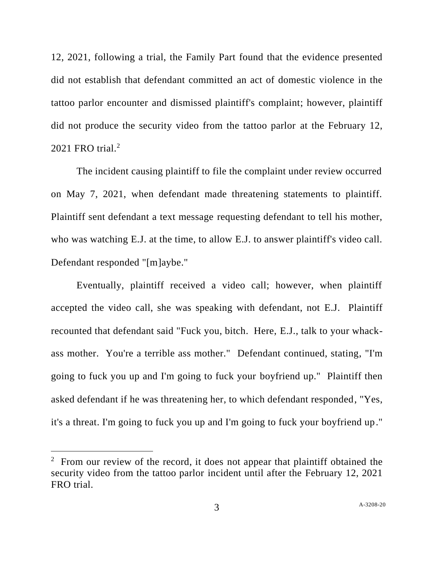12, 2021, following a trial, the Family Part found that the evidence presented did not establish that defendant committed an act of domestic violence in the tattoo parlor encounter and dismissed plaintiff's complaint; however, plaintiff did not produce the security video from the tattoo parlor at the February 12, 2021 FRO trial.<sup>2</sup>

The incident causing plaintiff to file the complaint under review occurred on May 7, 2021, when defendant made threatening statements to plaintiff. Plaintiff sent defendant a text message requesting defendant to tell his mother, who was watching E.J. at the time, to allow E.J. to answer plaintiff's video call. Defendant responded "[m]aybe."

Eventually, plaintiff received a video call; however, when plaintiff accepted the video call, she was speaking with defendant, not E.J. Plaintiff recounted that defendant said "Fuck you, bitch. Here, E.J., talk to your whackass mother. You're a terrible ass mother." Defendant continued, stating, "I'm going to fuck you up and I'm going to fuck your boyfriend up." Plaintiff then asked defendant if he was threatening her, to which defendant responded, "Yes, it's a threat. I'm going to fuck you up and I'm going to fuck your boyfriend up."

<sup>&</sup>lt;sup>2</sup> From our review of the record, it does not appear that plaintiff obtained the security video from the tattoo parlor incident until after the February 12, 2021 FRO trial.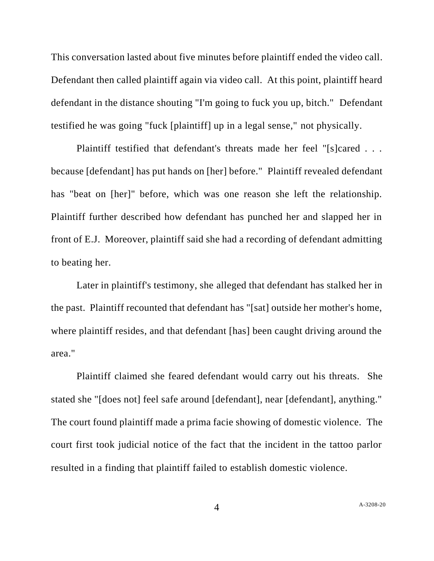This conversation lasted about five minutes before plaintiff ended the video call. Defendant then called plaintiff again via video call. At this point, plaintiff heard defendant in the distance shouting "I'm going to fuck you up, bitch." Defendant testified he was going "fuck [plaintiff] up in a legal sense," not physically.

Plaintiff testified that defendant's threats made her feel "[s]cared . . . because [defendant] has put hands on [her] before." Plaintiff revealed defendant has "beat on [her]" before, which was one reason she left the relationship. Plaintiff further described how defendant has punched her and slapped her in front of E.J. Moreover, plaintiff said she had a recording of defendant admitting to beating her.

Later in plaintiff's testimony, she alleged that defendant has stalked her in the past. Plaintiff recounted that defendant has "[sat] outside her mother's home, where plaintiff resides, and that defendant [has] been caught driving around the area."

Plaintiff claimed she feared defendant would carry out his threats. She stated she "[does not] feel safe around [defendant], near [defendant], anything." The court found plaintiff made a prima facie showing of domestic violence. The court first took judicial notice of the fact that the incident in the tattoo parlor resulted in a finding that plaintiff failed to establish domestic violence.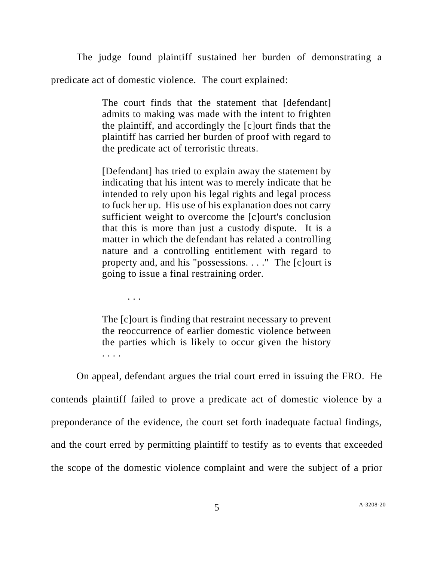The judge found plaintiff sustained her burden of demonstrating a

predicate act of domestic violence. The court explained:

. . .

The court finds that the statement that [defendant] admits to making was made with the intent to frighten the plaintiff, and accordingly the [c]ourt finds that the plaintiff has carried her burden of proof with regard to the predicate act of terroristic threats.

[Defendant] has tried to explain away the statement by indicating that his intent was to merely indicate that he intended to rely upon his legal rights and legal process to fuck her up. His use of his explanation does not carry sufficient weight to overcome the [c]ourt's conclusion that this is more than just a custody dispute. It is a matter in which the defendant has related a controlling nature and a controlling entitlement with regard to property and, and his "possessions. . . ." The [c]ourt is going to issue a final restraining order.

The [c]ourt is finding that restraint necessary to prevent the reoccurrence of earlier domestic violence between the parties which is likely to occur given the history . . . .

On appeal, defendant argues the trial court erred in issuing the FRO. He contends plaintiff failed to prove a predicate act of domestic violence by a preponderance of the evidence, the court set forth inadequate factual findings, and the court erred by permitting plaintiff to testify as to events that exceeded the scope of the domestic violence complaint and were the subject of a prior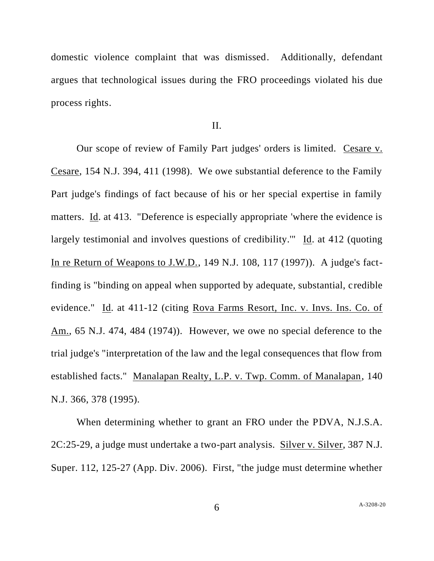domestic violence complaint that was dismissed. Additionally, defendant argues that technological issues during the FRO proceedings violated his due process rights.

II.

Our scope of review of Family Part judges' orders is limited. Cesare v. Cesare, 154 N.J. 394, 411 (1998). We owe substantial deference to the Family Part judge's findings of fact because of his or her special expertise in family matters. Id. at 413. "Deference is especially appropriate 'where the evidence is largely testimonial and involves questions of credibility.'" Id. at 412 (quoting In re Return of Weapons to J.W.D., 149 N.J. 108, 117 (1997)). A judge's factfinding is "binding on appeal when supported by adequate, substantial, credible evidence." Id. at 411-12 (citing Rova Farms Resort, Inc. v. Invs. Ins. Co. of Am., 65 N.J. 474, 484 (1974)). However, we owe no special deference to the trial judge's "interpretation of the law and the legal consequences that flow from established facts." Manalapan Realty, L.P. v. Twp. Comm. of Manalapan, 140 N.J. 366, 378 (1995).

When determining whether to grant an FRO under the PDVA, N.J.S.A. 2C:25-29, a judge must undertake a two-part analysis. Silver v. Silver, 387 N.J. Super. 112, 125-27 (App. Div. 2006). First, "the judge must determine whether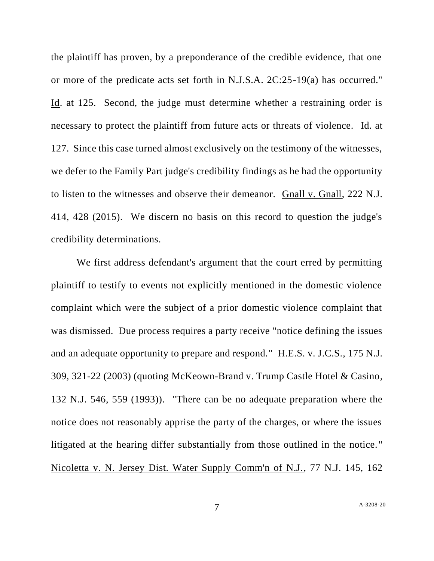the plaintiff has proven, by a preponderance of the credible evidence, that one or more of the predicate acts set forth in N.J.S.A. 2C:25-19(a) has occurred." Id. at 125. Second, the judge must determine whether a restraining order is necessary to protect the plaintiff from future acts or threats of violence. Id. at 127. Since this case turned almost exclusively on the testimony of the witnesses, we defer to the Family Part judge's credibility findings as he had the opportunity to listen to the witnesses and observe their demeanor. Gnall v. Gnall, 222 N.J. 414, 428 (2015). We discern no basis on this record to question the judge's credibility determinations.

We first address defendant's argument that the court erred by permitting plaintiff to testify to events not explicitly mentioned in the domestic violence complaint which were the subject of a prior domestic violence complaint that was dismissed. Due process requires a party receive "notice defining the issues and an adequate opportunity to prepare and respond." H.E.S. v. J.C.S., 175 N.J. 309, 321-22 (2003) (quoting McKeown-Brand v. Trump Castle Hotel & Casino, 132 N.J. 546, 559 (1993)). "There can be no adequate preparation where the notice does not reasonably apprise the party of the charges, or where the issues litigated at the hearing differ substantially from those outlined in the notice. " Nicoletta v. N. Jersey Dist. Water Supply Comm'n of N.J., 77 N.J. 145, 162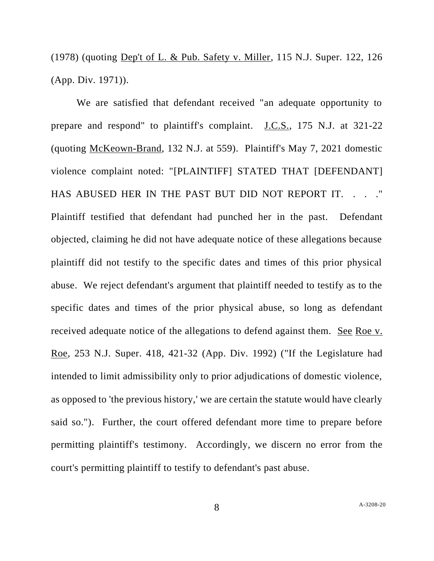(1978) (quoting Dep't of L. & Pub. Safety v. Miller, 115 N.J. Super. 122, 126 (App. Div. 1971)).

We are satisfied that defendant received "an adequate opportunity to prepare and respond" to plaintiff's complaint. J.C.S., 175 N.J. at 321-22 (quoting McKeown-Brand, 132 N.J. at 559). Plaintiff's May 7, 2021 domestic violence complaint noted: "[PLAINTIFF] STATED THAT [DEFENDANT] HAS ABUSED HER IN THE PAST BUT DID NOT REPORT IT. . . . " Plaintiff testified that defendant had punched her in the past. Defendant objected, claiming he did not have adequate notice of these allegations because plaintiff did not testify to the specific dates and times of this prior physical abuse. We reject defendant's argument that plaintiff needed to testify as to the specific dates and times of the prior physical abuse, so long as defendant received adequate notice of the allegations to defend against them. See Roe v. Roe, 253 N.J. Super. 418, 421-32 (App. Div. 1992) ("If the Legislature had intended to limit admissibility only to prior adjudications of domestic violence, as opposed to 'the previous history,' we are certain the statute would have clearly said so."). Further, the court offered defendant more time to prepare before permitting plaintiff's testimony. Accordingly, we discern no error from the court's permitting plaintiff to testify to defendant's past abuse.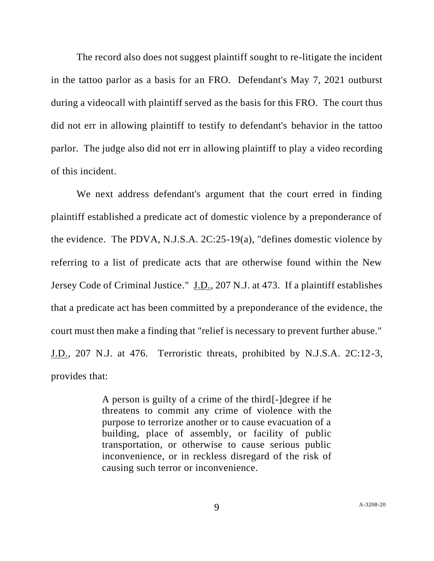The record also does not suggest plaintiff sought to re-litigate the incident in the tattoo parlor as a basis for an FRO. Defendant's May 7, 2021 outburst during a videocall with plaintiff served as the basis for this FRO. The court thus did not err in allowing plaintiff to testify to defendant's behavior in the tattoo parlor. The judge also did not err in allowing plaintiff to play a video recording of this incident.

We next address defendant's argument that the court erred in finding plaintiff established a predicate act of domestic violence by a preponderance of the evidence. The PDVA, N.J.S.A. 2C:25-19(a), "defines domestic violence by referring to a list of predicate acts that are otherwise found within the New Jersey Code of Criminal Justice." J.D., 207 N.J. at 473. If a plaintiff establishes that a predicate act has been committed by a preponderance of the evidence, the court must then make a finding that "relief is necessary to prevent further abuse." J.D., 207 N.J. at 476. Terroristic threats, prohibited by N.J.S.A. 2C:12-3, provides that:

> A person is guilty of a crime of the third[-]degree if he threatens to commit any crime of violence with the purpose to terrorize another or to cause evacuation of a building, place of assembly, or facility of public transportation, or otherwise to cause serious public inconvenience, or in reckless disregard of the risk of causing such terror or inconvenience.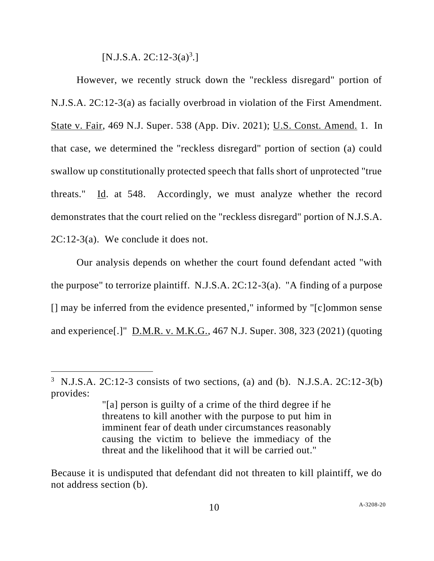[N.J.S.A.  $2C:12-3(a)^3$ .]

However, we recently struck down the "reckless disregard" portion of N.J.S.A. 2C:12-3(a) as facially overbroad in violation of the First Amendment. State v. Fair, 469 N.J. Super. 538 (App. Div. 2021); U.S. Const. Amend. 1. In that case, we determined the "reckless disregard" portion of section (a) could swallow up constitutionally protected speech that falls short of unprotected "true threats." Id. at 548. Accordingly, we must analyze whether the record demonstrates that the court relied on the "reckless disregard" portion of N.J.S.A. 2C:12-3(a). We conclude it does not.

Our analysis depends on whether the court found defendant acted "with the purpose" to terrorize plaintiff. N.J.S.A. 2C:12-3(a). "A finding of a purpose [] may be inferred from the evidence presented," informed by "[c]ommon sense and experience[.]" D.M.R. v. M.K.G., 467 N.J. Super. 308, 323 (2021) (quoting

<sup>3</sup> N.J.S.A. 2C:12-3 consists of two sections, (a) and (b). N.J.S.A. 2C:12-3(b) provides:

<sup>&</sup>quot;[a] person is guilty of a crime of the third degree if he threatens to kill another with the purpose to put him in imminent fear of death under circumstances reasonably causing the victim to believe the immediacy of the threat and the likelihood that it will be carried out."

Because it is undisputed that defendant did not threaten to kill plaintiff, we do not address section (b).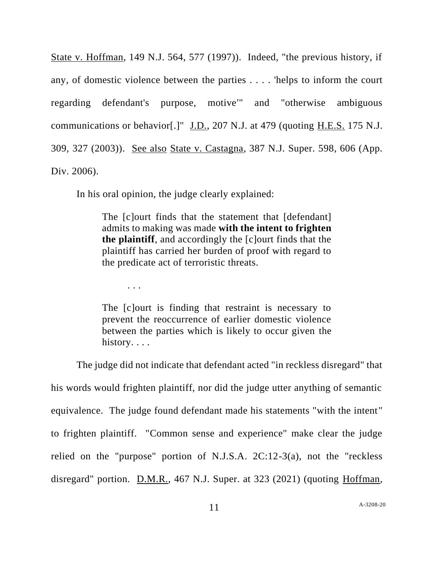State v. Hoffman, 149 N.J. 564, 577 (1997)). Indeed, "the previous history, if any, of domestic violence between the parties . . . . 'helps to inform the court regarding defendant's purpose, motive'" and "otherwise ambiguous communications or behavior[.]" J.D., 207 N.J. at 479 (quoting H.E.S. 175 N.J. 309, 327 (2003)). See also State v. Castagna, 387 N.J. Super. 598, 606 (App. Div. 2006).

In his oral opinion, the judge clearly explained:

The [c]ourt finds that the statement that [defendant] admits to making was made **with the intent to frighten the plaintiff**, and accordingly the [c]ourt finds that the plaintiff has carried her burden of proof with regard to the predicate act of terroristic threats.

. . .

The [c]ourt is finding that restraint is necessary to prevent the reoccurrence of earlier domestic violence between the parties which is likely to occur given the history...

The judge did not indicate that defendant acted "in reckless disregard" that his words would frighten plaintiff, nor did the judge utter anything of semantic equivalence. The judge found defendant made his statements "with the intent" to frighten plaintiff. "Common sense and experience" make clear the judge relied on the "purpose" portion of N.J.S.A. 2C:12-3(a), not the "reckless disregard" portion. D.M.R., 467 N.J. Super. at 323 (2021) (quoting Hoffman,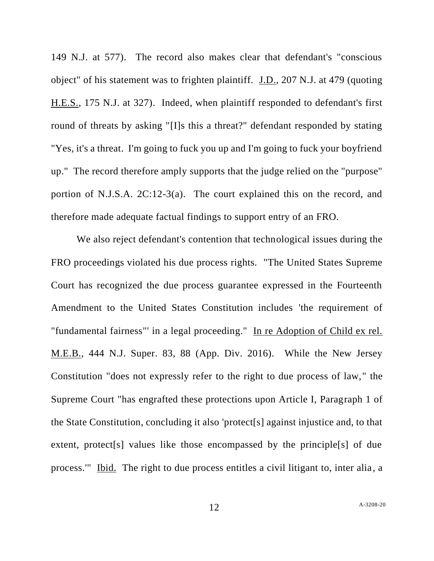149 N.J. at 577). The record also makes clear that defendant's "conscious object" of his statement was to frighten plaintiff. J.D., 207 N.J. at 479 (quoting H.E.S., 175 N.J. at 327). Indeed, when plaintiff responded to defendant's first round of threats by asking "[I]s this a threat?" defendant responded by stating "Yes, it's a threat. I'm going to fuck you up and I'm going to fuck your boyfriend up." The record therefore amply supports that the judge relied on the "purpose" portion of N.J.S.A. 2C:12-3(a). The court explained this on the record, and therefore made adequate factual findings to support entry of an FRO.

We also reject defendant's contention that technological issues during the FRO proceedings violated his due process rights. "The United States Supreme Court has recognized the due process guarantee expressed in the Fourteenth Amendment to the United States Constitution includes 'the requirement of "fundamental fairness"' in a legal proceeding." In re Adoption of Child ex rel. M.E.B., 444 N.J. Super. 83, 88 (App. Div. 2016). While the New Jersey Constitution "does not expressly refer to the right to due process of law," the Supreme Court "has engrafted these protections upon Article I, Paragraph 1 of the State Constitution, concluding it also 'protect[s] against injustice and, to that extent, protect<sup>[s]</sup> values like those encompassed by the principle<sup>[s]</sup> of due process.'" Ibid. The right to due process entitles a civil litigant to, inter alia, a